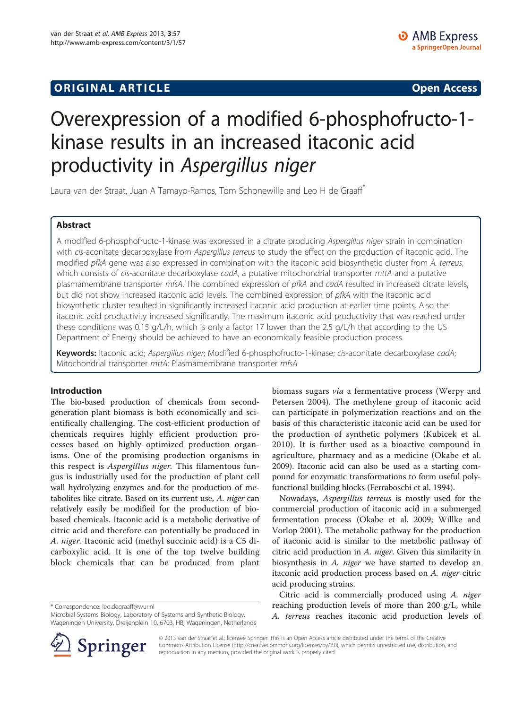## **ORIGINAL ARTICLE CONSUMING A LIGACION CONSUMING A LIGACION CONSUMING A LIGACION**

# Overexpression of a modified 6-phosphofructo-1 kinase results in an increased itaconic acid productivity in Aspergillus niger

Laura van der Straat, Juan A Tamayo-Ramos, Tom Schonewille and Leo H de Graaff\*

## Abstract

A modified 6-phosphofructo-1-kinase was expressed in a citrate producing Aspergillus niger strain in combination with cis-aconitate decarboxylase from Aspergillus terreus to study the effect on the production of itaconic acid. The modified pfkA gene was also expressed in combination with the itaconic acid biosynthetic cluster from A. terreus, which consists of cis-aconitate decarboxylase cadA, a putative mitochondrial transporter mttA and a putative plasmamembrane transporter mfsA. The combined expression of pfkA and cadA resulted in increased citrate levels, but did not show increased itaconic acid levels. The combined expression of pfkA with the itaconic acid biosynthetic cluster resulted in significantly increased itaconic acid production at earlier time points. Also the itaconic acid productivity increased significantly. The maximum itaconic acid productivity that was reached under these conditions was 0.15 g/L/h, which is only a factor 17 lower than the 2.5 g/L/h that according to the US Department of Energy should be achieved to have an economically feasible production process.

Keywords: Itaconic acid; Aspergillus niger; Modified 6-phosphofructo-1-kinase; cis-aconitate decarboxylase cadA; Mitochondrial transporter mttA; Plasmamembrane transporter mfsA

## Introduction

The bio-based production of chemicals from secondgeneration plant biomass is both economically and scientifically challenging. The cost-efficient production of chemicals requires highly efficient production processes based on highly optimized production organisms. One of the promising production organisms in this respect is Aspergillus niger. This filamentous fungus is industrially used for the production of plant cell wall hydrolyzing enzymes and for the production of metabolites like citrate. Based on its current use, A. niger can relatively easily be modified for the production of biobased chemicals. Itaconic acid is a metabolic derivative of citric acid and therefore can potentially be produced in A. niger. Itaconic acid (methyl succinic acid) is a C5 dicarboxylic acid. It is one of the top twelve building block chemicals that can be produced from plant

\* Correspondence: [leo.degraaff@wur.nl](mailto:leo.degraaff@wur.nl)

Microbial Systems Biology, Laboratory of Systems and Synthetic Biology, Wageningen University, Dreijenplein 10, 6703, HB, Wageningen, Netherlands biomass sugars via a fermentative process (Werpy and Petersen [2004\)](#page-8-0). The methylene group of itaconic acid can participate in polymerization reactions and on the basis of this characteristic itaconic acid can be used for the production of synthetic polymers (Kubicek et al. [2010\)](#page-7-0). It is further used as a bioactive compound in agriculture, pharmacy and as a medicine (Okabe et al. [2009](#page-7-0)). Itaconic acid can also be used as a starting compound for enzymatic transformations to form useful polyfunctional building blocks (Ferraboschi et al. [1994](#page-7-0)).

Nowadays, Aspergillus terreus is mostly used for the commercial production of itaconic acid in a submerged fermentation process (Okabe et al. [2009;](#page-7-0) Willke and Vorlop [2001\)](#page-8-0). The metabolic pathway for the production of itaconic acid is similar to the metabolic pathway of citric acid production in A. niger. Given this similarity in biosynthesis in A. niger we have started to develop an itaconic acid production process based on A. niger citric acid producing strains.

Citric acid is commercially produced using A. niger reaching production levels of more than 200 g/L, while A. terreus reaches itaconic acid production levels of



© 2013 van der Straat et al.; licensee Springer. This is an Open Access article distributed under the terms of the Creative Commons Attribution License (<http://creativecommons.org/licenses/by/2.0>), which permits unrestricted use, distribution, and reproduction in any medium, provided the original work is properly cited.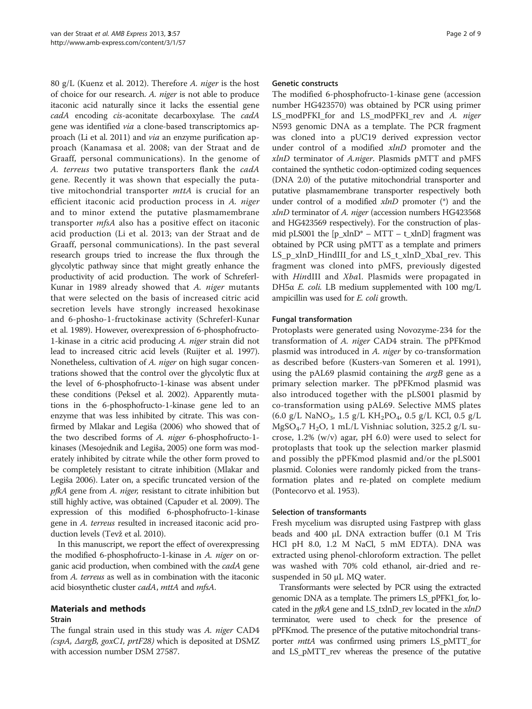80 g/L (Kuenz et al. [2012](#page-7-0)). Therefore A. niger is the host of choice for our research. A. niger is not able to produce itaconic acid naturally since it lacks the essential gene cadA encoding cis-aconitate decarboxylase. The cadA gene was identified via a clone-based transcriptomics approach (Li et al. [2011\)](#page-7-0) and via an enzyme purification approach (Kanamasa et al. [2008;](#page-7-0) van der Straat and de Graaff, personal communications). In the genome of A. terreus two putative transporters flank the cadA gene. Recently it was shown that especially the putative mitochondrial transporter *mttA* is crucial for an efficient itaconic acid production process in A. niger and to minor extend the putative plasmamembrane transporter mfsA also has a positive effect on itaconic acid production (Li et al. [2013;](#page-7-0) van der Straat and de Graaff, personal communications). In the past several research groups tried to increase the flux through the glycolytic pathway since that might greatly enhance the productivity of acid production. The work of Schreferl-Kunar in 1989 already showed that A. niger mutants that were selected on the basis of increased citric acid secretion levels have strongly increased hexokinase and 6-phosho-1-fructokinase activity (Schreferl-Kunar et al. [1989](#page-7-0)). However, overexpression of 6-phosphofructo-1-kinase in a citric acid producing A. niger strain did not lead to increased citric acid levels (Ruijter et al. [1997](#page-7-0)). Nonetheless, cultivation of A. niger on high sugar concentrations showed that the control over the glycolytic flux at the level of 6-phosphofructo-1-kinase was absent under these conditions (Peksel et al. [2002\)](#page-7-0). Apparently mutations in the 6-phosphofructo-1-kinase gene led to an enzyme that was less inhibited by citrate. This was confirmed by Mlakar and Legiša [\(2006\)](#page-7-0) who showed that of the two described forms of A. niger 6-phosphofructo-1 kinases (Mesojednik and Legiša, [2005](#page-7-0)) one form was moderately inhibited by citrate while the other form proved to be completely resistant to citrate inhibition (Mlakar and Legiša [2006](#page-7-0)). Later on, a specific truncated version of the pfkA gene from A. niger, resistant to citrate inhibition but still highly active, was obtained (Capuder et al. [2009](#page-7-0)). The expression of this modified 6-phosphofructo-1-kinase gene in A. terreus resulted in increased itaconic acid production levels (Tevž et al. [2010](#page-8-0)).

In this manuscript, we report the effect of overexpressing the modified 6-phosphofructo-1-kinase in A. niger on organic acid production, when combined with the *cadA* gene from A. terreus as well as in combination with the itaconic acid biosynthetic cluster *cadA*, *mttA* and *mfsA*.

## Materials and methods

#### Strain

The fungal strain used in this study was A. niger CAD4 (cspA, ΔargB, goxC1, prtF28) which is deposited at DSMZ with accession number DSM 27587.

#### Genetic constructs

The modified 6-phosphofructo-1-kinase gene (accession number HG423570) was obtained by PCR using primer LS\_modPFKI\_for and LS\_modPFKI\_rev and A. niger N593 genomic DNA as a template. The PCR fragment was cloned into a pUC19 derived expression vector under control of a modified xlnD promoter and the xlnD terminator of A.niger. Plasmids pMTT and pMFS contained the synthetic codon-optimized coding sequences (DNA 2.0) of the putative mitochondrial transporter and putative plasmamembrane transporter respectively both under control of a modified xlnD promoter (\*) and the xlnD terminator of A. niger (accession numbers HG423568 and HG423569 respectively). For the construction of plasmid pLS001 the  $[p_xlnD^* - MTT - t_xlnD]$  fragment was obtained by PCR using pMTT as a template and primers LS\_p\_xlnD\_HindIII\_for and LS\_t\_xlnD\_XbaI\_rev. This fragment was cloned into pMFS, previously digested with HindIII and XbaI. Plasmids were propagated in DH5α E. coli. LB medium supplemented with 100 mg/L ampicillin was used for E. coli growth.

#### Fungal transformation

Protoplasts were generated using Novozyme-234 for the transformation of A. niger CAD4 strain. The pPFKmod plasmid was introduced in A. niger by co-transformation as described before (Kusters-van Someren et al. [1991](#page-7-0)), using the pAL69 plasmid containing the  $argB$  gene as a primary selection marker. The pPFKmod plasmid was also introduced together with the pLS001 plasmid by co-transformation using pAL69. Selective MMS plates (6.0 g/L NaNO<sub>3</sub>, 1.5 g/L KH<sub>2</sub>PO<sub>4</sub>, 0.5 g/L KCl, 0.5 g/L MgSO<sub>4</sub>.7 H<sub>2</sub>O, 1 mL/L Vishniac solution, 325.2 g/L sucrose, 1.2% (w/v) agar, pH 6.0) were used to select for protoplasts that took up the selection marker plasmid and possibly the pPFKmod plasmid and/or the pLS001 plasmid. Colonies were randomly picked from the transformation plates and re-plated on complete medium (Pontecorvo et al. [1953](#page-7-0)).

#### Selection of transformants

Fresh mycelium was disrupted using Fastprep with glass beads and 400 μL DNA extraction buffer (0.1 M Tris HCl pH 8.0, 1.2 M NaCl, 5 mM EDTA). DNA was extracted using phenol-chloroform extraction. The pellet was washed with 70% cold ethanol, air-dried and resuspended in 50 μL MQ water.

Transformants were selected by PCR using the extracted genomic DNA as a template. The primers LS\_pPFK1\_for, located in the *pfkA* gene and LS\_txlnD\_rev located in the *xlnD* terminator, were used to check for the presence of pPFKmod. The presence of the putative mitochondrial transporter mttA was confirmed using primers LS\_pMTT\_for and LS\_pMTT\_rev whereas the presence of the putative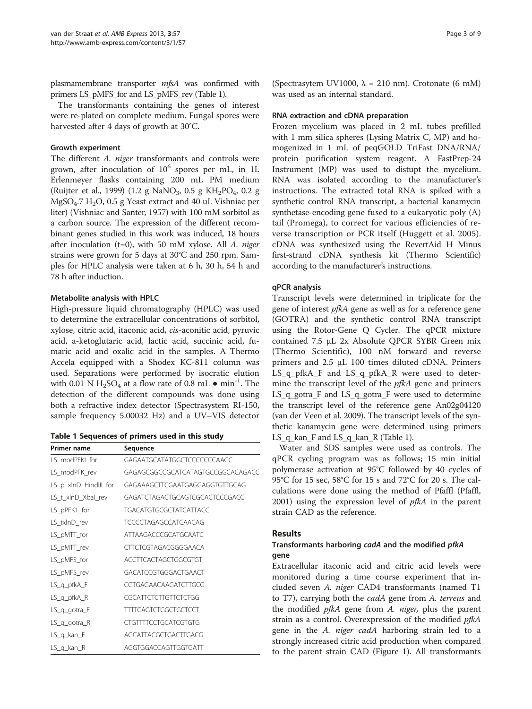plasmamembrane transporter mfsA was confirmed with primers LS\_pMFS\_for and LS\_pMFS\_rev (Table 1).

The transformants containing the genes of interest were re-plated on complete medium. Fungal spores were harvested after 4 days of growth at 30°C.

#### Growth experiment

The different A. niger transformants and controls were grown, after inoculation of  $10^6$  spores per mL, in 1L Erlenmeyer flasks containing 200 mL PM medium (Ruijter et al., [1999\)](#page-7-0) (1.2 g NaNO<sub>3</sub>, 0.5 g KH<sub>2</sub>PO<sub>4</sub>, 0.2 g MgSO<sub>4</sub>.7 H<sub>2</sub>O, 0.5 g Yeast extract and 40 uL Vishniac per liter) (Vishniac and Santer, [1957\)](#page-8-0) with 100 mM sorbitol as a carbon source. The expression of the different recombinant genes studied in this work was induced, 18 hours after inoculation (t=0), with 50 mM xylose. All  $A$ . niger strains were grown for 5 days at 30°C and 250 rpm. Samples for HPLC analysis were taken at 6 h, 30 h, 54 h and 78 h after induction.

## Metabolite analysis with HPLC

High-pressure liquid chromatography (HPLC) was used to determine the extracellular concentrations of sorbitol, xylose, citric acid, itaconic acid, cis-aconitic acid, pyruvic acid, a-ketoglutaric acid, lactic acid, succinic acid, fumaric acid and oxalic acid in the samples. A Thermo Accela equipped with a Shodex KC-811 column was used. Separations were performed by isocratic elution with 0.01 N  $H_2SO_4$  at a flow rate of 0.8 mL  $\bullet$  min<sup>-1</sup>. The detection of the different compounds was done using both a refractive index detector (Spectrasystem RI-150, sample frequency 5.00032 Hz) and a UV–VIS detector

| Table 1 Sequences of primers used in this study |  |  |  |  |  |  |
|-------------------------------------------------|--|--|--|--|--|--|
|-------------------------------------------------|--|--|--|--|--|--|

| <b>Primer name</b>    | Sequence                          |
|-----------------------|-----------------------------------|
| LS_modPFKI_for        | GAGAATGCATATGGCTCCCCCCCAAGC       |
| LS modPFK rev         | GAGAGCGGCCGCATCATAGTGCCGGCACAGACC |
| LS_p_xlnD_Hindlll_for | GAGAAAGCTTCGAATGAGGAGGTGTTGCAG    |
| LS t xlnD Xbal rev    | GAGATCTAGACTGCAGTCGCACTCCCGACC    |
| LS_pPFK1_for          | TGACATGTGCGCTATCATTACC            |
| LS txlnD rev          | <b>TCCCCTAGAGCCATCAACAG</b>       |
| LS_pMTT_for           | ATTAAGACCCGCATGCAATC              |
| LS_pMTT_rev           | CTTCTCGTAGACGGGGAACA              |
| LS_pMFS_for           | ACCTTCACTAGCTGGCGTGT              |
| LS_pMFS_rev           | GACATCCGTGGGACTGAACT              |
| LS_q_pfkA_F           | CGTGAGAACAAGATCTTGCG              |
| $LS_q$ _pfkA_R        | CGCATTCTCTTGTTCTCTGG              |
| LS_q_gotra_F          | <b>TTTTCAGTCTGGCTGCTCCT</b>       |
| $LS_q$ gotra R        | <b>CTGTTTTCCTGCATCGTGTG</b>       |
| $LS_q$ kan $F$        | AGCATTACGCTGACTTGACG              |
| $LS_q$ kan R          | AGGTGGACCAGTTGGTGATT              |

(Spectrasytem UV1000,  $\lambda = 210$  nm). Crotonate (6 mM) was used as an internal standard.

## RNA extraction and cDNA preparation

Frozen mycelium was placed in 2 mL tubes prefilled with 1 mm silica spheres (Lysing Matrix C, MP) and homogenized in 1 mL of peqGOLD TriFast DNA/RNA/ protein purification system reagent. A FastPrep-24 Instrument (MP) was used to distupt the mycelium. RNA was isolated according to the manufacturer's instructions. The extracted total RNA is spiked with a synthetic control RNA transcript, a bacterial kanamycin synthetase-encoding gene fused to a eukaryotic poly (A) tail (Promega), to correct for various efficiencies of reverse transcription or PCR itself (Huggett et al. [2005](#page-7-0)). cDNA was synthesized using the RevertAid H Minus first-strand cDNA synthesis kit (Thermo Scientific) according to the manufacturer's instructions.

## qPCR analysis

Transcript levels were determined in triplicate for the gene of interest *pfkA* gene as well as for a reference gene (GOTRA) and the synthetic control RNA transcript using the Rotor-Gene Q Cycler. The qPCR mixture contained 7.5 μL 2x Absolute QPCR SYBR Green mix (Thermo Scientific), 100 nM forward and reverse primers and 2.5 μL 100 times diluted cDNA. Primers LS\_q\_pfkA\_F and LS\_q\_pfkA\_R were used to determine the transcript level of the  $p\ddot{f}kA$  gene and primers LS\_q\_gotra\_F and LS\_q\_gotra\_F were used to determine the transcript level of the reference gene An02g04120 (van der Veen et al. [2009](#page-8-0)). The transcript levels of the synthetic kanamycin gene were determined using primers LS\_q\_kan\_F and LS\_q\_kan\_R (Table 1).

Water and SDS samples were used as controls. The qPCR cycling program was as follows; 15 min initial polymerase activation at 95°C followed by 40 cycles of 95°C for 15 sec, 58°C for 15 s and 72°C for 20 s. The calculations were done using the method of Pfaffl (Pfaffl, [2001](#page-7-0)) using the expression level of  $pfkA$  in the parent strain CAD as the reference.

## Results

## Transformants harboring cadA and the modified pfkA gene

Extracellular itaconic acid and citric acid levels were monitored during a time course experiment that included seven A. niger CAD4 transformants (named T1 to T7), carrying both the cadA gene from A. terreus and the modified *pfkA* gene from *A. niger*, plus the parent strain as a control. Overexpression of the modified *pfkA* gene in the A. *niger cadA* harboring strain led to a strongly increased citric acid production when compared to the parent strain CAD (Figure [1\)](#page-3-0). All transformants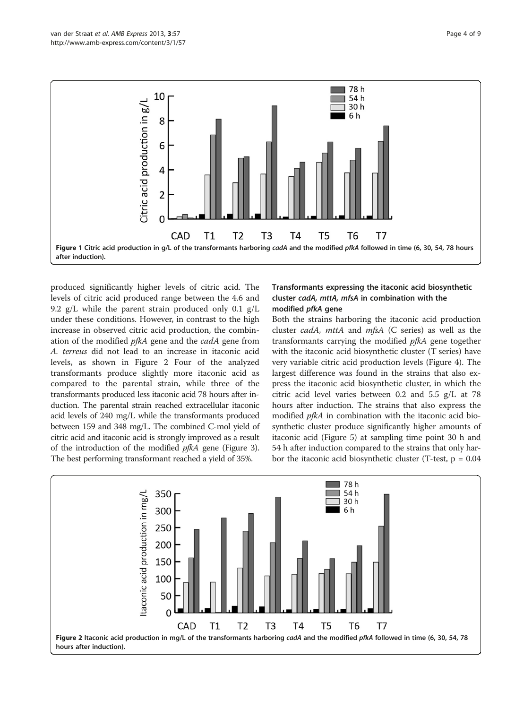<span id="page-3-0"></span>

produced significantly higher levels of citric acid. The levels of citric acid produced range between the 4.6 and 9.2 g/L while the parent strain produced only 0.1 g/L under these conditions. However, in contrast to the high increase in observed citric acid production, the combination of the modified pfkA gene and the cadA gene from A. terreus did not lead to an increase in itaconic acid levels, as shown in Figure 2 Four of the analyzed transformants produce slightly more itaconic acid as compared to the parental strain, while three of the transformants produced less itaconic acid 78 hours after induction. The parental strain reached extracellular itaconic acid levels of 240 mg/L while the transformants produced between 159 and 348 mg/L. The combined C-mol yield of citric acid and itaconic acid is strongly improved as a result of the introduction of the modified pfkA gene (Figure [3](#page-4-0)). The best performing transformant reached a yield of 35%.

## Transformants expressing the itaconic acid biosynthetic cluster cadA, mttA, mfsA in combination with the modified pfkA gene

Both the strains harboring the itaconic acid production cluster cadA, mttA and mfsA (C series) as well as the transformants carrying the modified pfkA gene together with the itaconic acid biosynthetic cluster (T series) have very variable citric acid production levels (Figure [4\)](#page-4-0). The largest difference was found in the strains that also express the itaconic acid biosynthetic cluster, in which the citric acid level varies between 0.2 and 5.5 g/L at 78 hours after induction. The strains that also express the modified pfkA in combination with the itaconic acid biosynthetic cluster produce significantly higher amounts of itaconic acid (Figure [5\)](#page-5-0) at sampling time point 30 h and 54 h after induction compared to the strains that only harbor the itaconic acid biosynthetic cluster (T-test,  $p = 0.04$ )

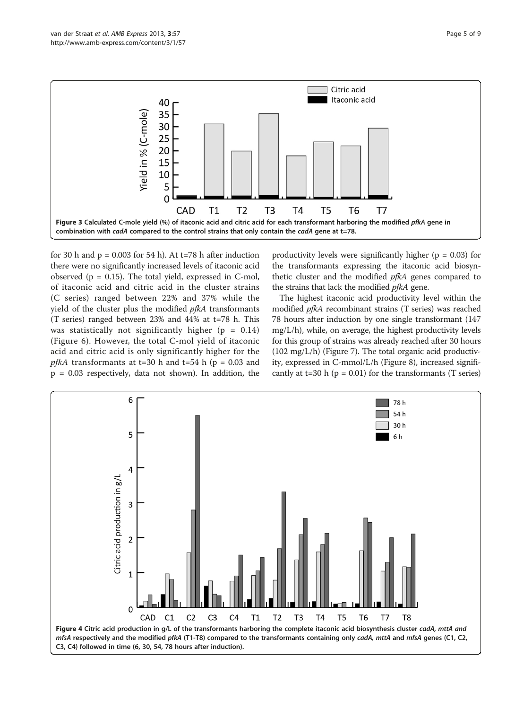<span id="page-4-0"></span>

for 30 h and  $p = 0.003$  for 54 h). At t=78 h after induction there were no significantly increased levels of itaconic acid observed ( $p = 0.15$ ). The total yield, expressed in C-mol, of itaconic acid and citric acid in the cluster strains (C series) ranged between 22% and 37% while the yield of the cluster plus the modified *pfkA* transformants (T series) ranged between 23% and 44% at t=78 h. This was statistically not significantly higher ( $p = 0.14$ ) (Figure [6](#page-5-0)). However, the total C-mol yield of itaconic acid and citric acid is only significantly higher for the pfkA transformants at t=30 h and t=54 h ( $p = 0.03$  and p = 0.03 respectively, data not shown). In addition, the productivity levels were significantly higher ( $p = 0.03$ ) for the transformants expressing the itaconic acid biosynthetic cluster and the modified *pfkA* genes compared to the strains that lack the modified *pfkA* gene.

The highest itaconic acid productivity level within the modified pfkA recombinant strains (T series) was reached 78 hours after induction by one single transformant (147 mg/L/h), while, on average, the highest productivity levels for this group of strains was already reached after 30 hours (102 mg/L/h) (Figure [7](#page-6-0)). The total organic acid productivity, expressed in C-mmol/L/h (Figure [8\)](#page-6-0), increased significantly at t=30 h ( $p = 0.01$ ) for the transformants (T series)

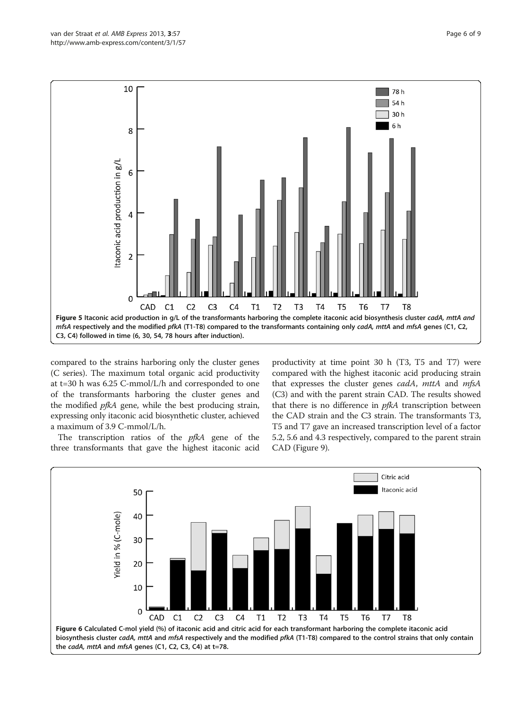<span id="page-5-0"></span>

compared to the strains harboring only the cluster genes (C series). The maximum total organic acid productivity at t=30 h was 6.25 C-mmol/L/h and corresponded to one of the transformants harboring the cluster genes and the modified pfkA gene, while the best producing strain, expressing only itaconic acid biosynthetic cluster, achieved a maximum of 3.9 C-mmol/L/h.

The transcription ratios of the *pfkA* gene of the three transformants that gave the highest itaconic acid

productivity at time point 30 h (T3, T5 and T7) were compared with the highest itaconic acid producing strain that expresses the cluster genes cadA, mttA and mfsA (C3) and with the parent strain CAD. The results showed that there is no difference in *pfkA* transcription between the CAD strain and the C3 strain. The transformants T3, T5 and T7 gave an increased transcription level of a factor 5.2, 5.6 and 4.3 respectively, compared to the parent strain CAD (Figure [9\)](#page-6-0).

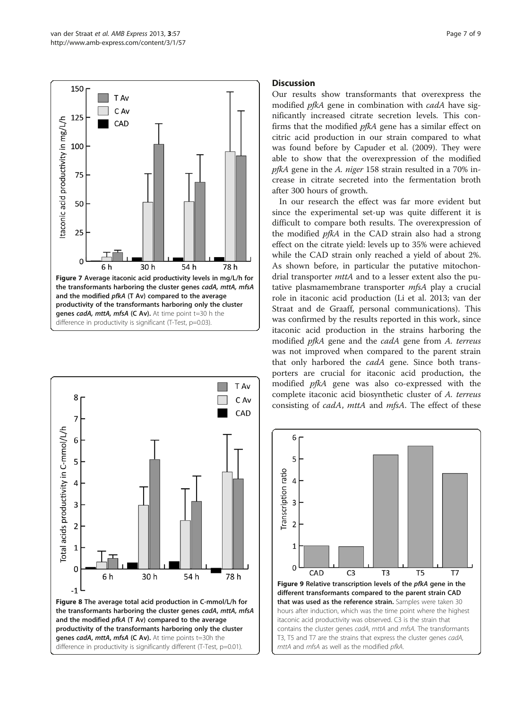<span id="page-6-0"></span>



## **Discussion**

Our results show transformants that overexpress the modified pfkA gene in combination with cadA have significantly increased citrate secretion levels. This confirms that the modified pfkA gene has a similar effect on citric acid production in our strain compared to what was found before by Capuder et al. ([2009](#page-7-0)). They were able to show that the overexpression of the modified pfkA gene in the A. niger 158 strain resulted in a 70% increase in citrate secreted into the fermentation broth after 300 hours of growth.

In our research the effect was far more evident but since the experimental set-up was quite different it is difficult to compare both results. The overexpression of the modified pfkA in the CAD strain also had a strong effect on the citrate yield: levels up to 35% were achieved while the CAD strain only reached a yield of about 2%. As shown before, in particular the putative mitochondrial transporter  $m$ ttA and to a lesser extent also the putative plasmamembrane transporter mfsA play a crucial role in itaconic acid production (Li et al. [2013;](#page-7-0) van der Straat and de Graaff, personal communications). This was confirmed by the results reported in this work, since itaconic acid production in the strains harboring the modified pfkA gene and the cadA gene from A. terreus was not improved when compared to the parent strain that only harbored the *cadA* gene. Since both transporters are crucial for itaconic acid production, the modified pfkA gene was also co-expressed with the complete itaconic acid biosynthetic cluster of A. terreus consisting of *cadA*, *mttA* and *mfsA*. The effect of these

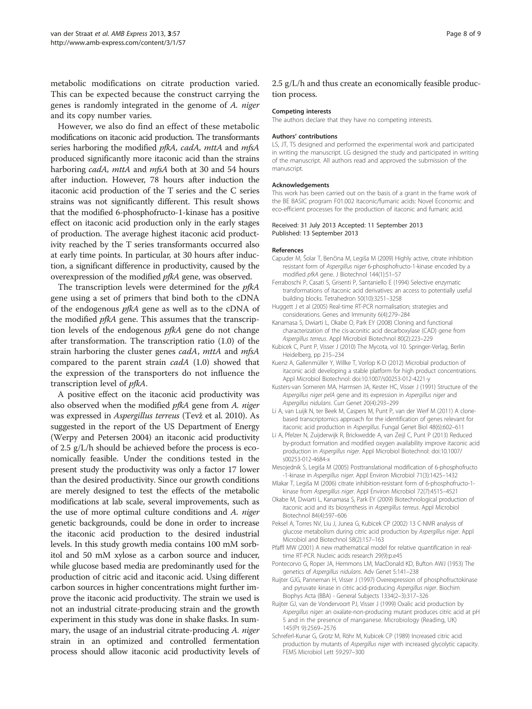<span id="page-7-0"></span>metabolic modifications on citrate production varied. This can be expected because the construct carrying the genes is randomly integrated in the genome of A. niger and its copy number varies.

However, we also do find an effect of these metabolic modifications on itaconic acid production. The transformants series harboring the modified pfkA, cadA, mttA and mfsA produced significantly more itaconic acid than the strains harboring *cadA*, *mttA* and *mfsA* both at 30 and 54 hours after induction. However, 78 hours after induction the itaconic acid production of the T series and the C series strains was not significantly different. This result shows that the modified 6-phosphofructo-1-kinase has a positive effect on itaconic acid production only in the early stages of production. The average highest itaconic acid productivity reached by the T series transformants occurred also at early time points. In particular, at 30 hours after induction, a significant difference in productivity, caused by the overexpression of the modified pfkA gene, was observed.

The transcription levels were determined for the *pfkA* gene using a set of primers that bind both to the cDNA of the endogenous pfkA gene as well as to the cDNA of the modified *pfkA* gene. This assumes that the transcription levels of the endogenous pfkA gene do not change after transformation. The transcription ratio (1.0) of the strain harboring the cluster genes cadA, mttA and mfsA compared to the parent strain cadA (1.0) showed that the expression of the transporters do not influence the transcription level of pfkA.

A positive effect on the itaconic acid productivity was also observed when the modified pfkA gene from A. niger was expressed in Aspergillus terreus (Tevž et al. [2010\)](#page-8-0). As suggested in the report of the US Department of Energy (Werpy and Petersen [2004\)](#page-8-0) an itaconic acid productivity of 2.5 g/L/h should be achieved before the process is economically feasible. Under the conditions tested in the present study the productivity was only a factor 17 lower than the desired productivity. Since our growth conditions are merely designed to test the effects of the metabolic modifications at lab scale, several improvements, such as the use of more optimal culture conditions and A. niger genetic backgrounds, could be done in order to increase the itaconic acid production to the desired industrial levels. In this study growth media contains 100 mM sorbitol and 50 mM xylose as a carbon source and inducer, while glucose based media are predominantly used for the production of citric acid and itaconic acid. Using different carbon sources in higher concentrations might further improve the itaconic acid productivity. The strain we used is not an industrial citrate-producing strain and the growth experiment in this study was done in shake flasks. In summary, the usage of an industrial citrate-producing A. niger strain in an optimized and controlled fermentation process should allow itaconic acid productivity levels of

#### 2.5 g/L/h and thus create an economically feasible production process.

#### Competing interests

The authors declare that they have no competing interests.

#### Authors' contributions

LS, JT, TS designed and performed the experimental work and participated in writing the manuscript. LG designed the study and participated in writing of the manuscript. All authors read and approved the submission of the manuscript.

#### Acknowledgements

This work has been carried out on the basis of a grant in the frame work of the BE BASIC program F01.002 Itaconic/fumaric acids: Novel Economic and eco-efficient processes for the production of itaconic and fumaric acid.

#### Received: 31 July 2013 Accepted: 11 September 2013 Published: 13 September 2013

#### References

- Capuder M, Šolar T, Benčina M, Legiša M (2009) Highly active, citrate inhibition resistant form of Aspergillus niger 6-phosphofructo-1-kinase encoded by a modified pfkA gene. J Biotechnol 144(1):51–57
- Ferraboschi P, Casati S, Grisenti P, Santaniello E (1994) Selective enzymatic transformations of itaconic acid derivatives: an access to potentially useful building blocks. Tetrahedron 50(10):3251–3258
- Huggett J et al (2005) Real-time RT-PCR normalisation; strategies and considerations. Genes and Immunity 6(4):279–284
- Kanamasa S, Dwiarti L, Okabe O, Park EY (2008) Cloning and functional characterization of the cis-aconitic acid decarboxylase (CAD) gene from Aspergillus terreus. Appl Microbiol Biotechnol 80(2):223–229
- Kubicek C, Punt P, Visser J (2010) The Mycota, vol 10. Springer-Verlag, Berlin Heidelberg, pp 215–234
- Kuenz A, Gallenmüller Y, Willke T, Vorlop K-D (2012) Microbial production of itaconic acid: developing a stable platform for high product concentrations. Appl Microbiol Biotechnol: doi:10.1007/s00253-012-4221-y
- Kusters-van Someren MA, Harmsen JA, Kester HC, Visser J (1991) Structure of the Aspergillus niger pelA gene and its expression in Aspergillus niger and Aspergillus nidulans. Curr Genet 20(4):293–299
- Li A, van Luijk N, ter Beek M, Caspers M, Punt P, van der Werf M (2011) A clonebased transcriptomics approach for the identification of genes relevant for itaconic acid production in Aspergillus. Fungal Genet Biol 48(6):602–611
- Li A, Pfelzer N, Zuijderwijk R, Brickwedde A, van Zeijl C, Punt P (2013) Reduced by-product formation and modified oxygen availability improve itaconic acid production in Aspergillus niger. Appl Microbiol Biotechnol: doi:10.1007/ s00253-012-4684-x
- Mesojednik S, Legiša M (2005) Posttranslational modification of 6-phosphofructo -1-kinase in Aspergillus niger. Appl Environ Microbiol 71(3):1425–1432
- Mlakar T, Legiša M (2006) citrate inhibition-resistant form of 6-phosphofructo-1 kinase from Aspergillus niger. Appl Environ Microbiol 72(7):4515–4521
- Okabe M, Dwiarti L, Kanamasa S, Park EY (2009) Biotechnological production of itaconic acid and its biosynthesis in Aspergillus terreus. Appl Microbiol Biotechnol 84(4):597–606
- Peksel A, Torres NV, Liu J, Junea G, Kubicek CP (2002) 13 C-NMR analysis of glucose metabolism during citric acid production by Aspergillus niger. Appl Microbiol and Biotechnol 58(2):157–163
- Pfaffl MW (2001) A new mathematical model for relative quantification in realtime RT-PCR. Nucleic acids research 29(9):p.e45
- Pontecorvo G, Roper JA, Hemmons LM, MacDonald KD, Bufton AWJ (1953) The genetics of Aspergillus nidulans. Adv Genet 5:141–238
- Ruijter GJG, Panneman H, Visser J (1997) Overexpression of phosphofructokinase and pyruvate kinase in citric acid-producing Aspergillus niger. Biochim Biophys Acta (BBA) - General Subjects 1334(2–3):317–326
- Ruijter GJ, van de Vondervoort PJ, Visser J (1999) Oxalic acid production by Aspergillus niger: an oxalate-non-producing mutant produces citric acid at pH 5 and in the presence of manganese. Microbiology (Reading, UK) 145(Pt 9):2569–2576
- Schreferl-Kunar G, Grotz M, Röhr M, Kubicek CP (1989) Increased citric acid production by mutants of Aspergillus niger with increased glycolytic capacity. FEMS Microbiol Lett 59:297–300